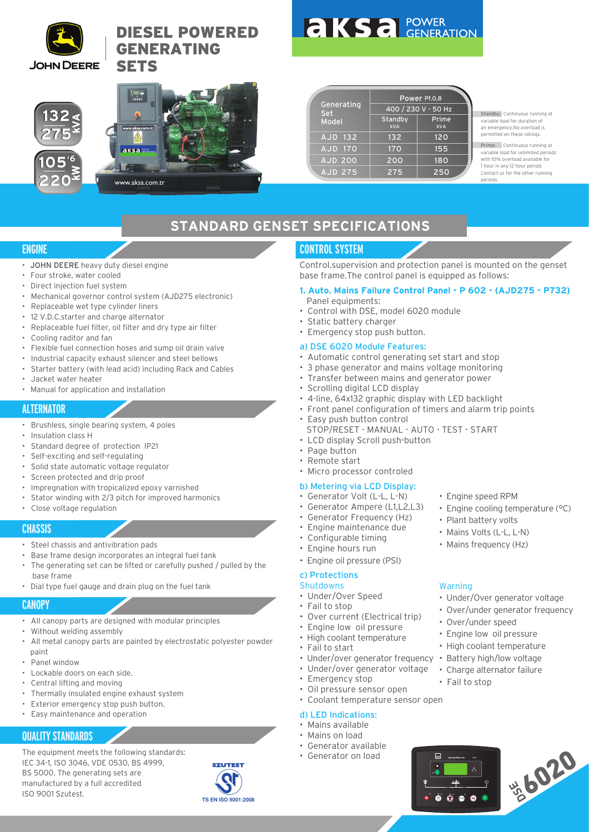

# DIESEL POWERED GENERATING **SETS**



|  | <b>aksa POWER</b> |
|--|-------------------|
|  |                   |

Generating Set Model Standby Power Pf.0,8 andby Prime<br><sub>kVA</sub> kva 400 / 230 V - 50 Hz AJD 132 AJD 170 AJD 200 AJD 275 132 170 200 275 120 155 180 250

Standby: Continuous running at variable load for duration of an emergency.No overload is permitted on these ratings.

Prime: Continuous running at variable load for unlimited periods with 10% overload available for 1 hour in any 12 hour period. Contact us for the other running periods.

# **STANDARD GENSET SPECIFICATIONS**

# **ENGINE**

- JOHN DEERE heavy duty diesel engine
- Four stroke, water cooled
- Direct injection fuel system
- Mechanical governor control system (AJD275 electronic)
- Replaceable wet type cylinder liners
- 12 V.D.C.starter and charge alternator
- Replaceable fuel filter, oil filter and dry type air filter
- Cooling raditor and fan
- Flexible fuel connection hoses and sump oil drain valve
- Industrial capacity exhaust silencer and steel bellows
- Starter battery (with lead acid) including Rack and Cables
- Jacket water heater
- Manual for application and installation

# **ALTERNATOR**

- Brushless, single bearing system, 4 poles
- Insulation class H
- Standard degree of protection IP21
- Self-exciting and self-regulating
- Solid state automatic voltage regulator
- Screen protected and drip proof
- Impregnation with tropicalized epoxy varnished
- Stator winding with 2/3 pitch for improved harmonics
- Close voltage regulation

## **CHASSIS**

- Steel chassis and antivibration pads
- Base frame design incorporates an integral fuel tank
- The generating set can be lifted or carefully pushed / pulled by the base frame
- Dial type fuel gauge and drain plug on the fuel tank

# **CANOPY**

- All canopy parts are designed with modular principles
- Without welding assembly
- All metal canopy parts are painted by electrostatic polyester powder paint
- Panel window
- Lockable doors on each side.
- Central lifting and moving
- Thermally insulated engine exhaust system
- Exterior emergency stop push button.
- Easy maintenance and operation

# **QUALITY STANDARDS**

The equipment meets the following standards: IEC 34-1, ISO 3046, VDE 0530, BS 4999, BS 5000. The generating sets are manufactured by a full accredited ISO 9001 Szutest.



# **CONTROL SYSTEM**

Control.supervision and protection panel is mounted on the genset base frame.The control panel is equipped as follows:

- **1. Auto. Mains Failure Control Panel P 602 (AJD275 P732)** Panel equipments:
- Control with DSE, model 6020 module
- Static battery charger
- Emergency stop push button.

#### a) DSE 6020 Module Features:

- Automatic control generating set start and stop
- 3 phase generator and mains voltage monitoring
- Transfer between mains and generator power
- Scrolling digital LCD display
- 4-line, 64x132 graphic display with LED backlight
- Front panel configuration of timers and alarm trip points
- Easy push button control
	- STOP/RESET MANUAL AUTO TEST START
- LCD display Scroll push-button
- Page button
- Remote start
- Micro processor controled

## b) Metering via LCD Display:

- Generator Volt (L-L, L-N)
- Generator Ampere (L1,L2,L3)
- Generator Frequency (Hz)
- Engine maintenance due
- Configurable timing
- Engine hours run
- Engine oil pressure (PSI)

## c) Protections

- Shutdowns
- Under/Over Speed
- Fail to stop
- Over current (Electrical trip)
- Engine low oil pressure
- High coolant temperature
- Fail to start
- Under/over generator frequency
- Under/over generator voltage
- Emergency stop
- Oil pressure sensor open
- Coolant temperature sensor open

## d) LED Indications:

- Mains available
- Mains on load
- Generator available
- Generator on load
- Engine speed RPM
- Engine cooling temperature (°C)

• Under/Over generator voltage • Over/under generator frequency

\*6020

- Plant battery volts
- Mains Volts (L-L, L-N)
- Mains frequency (Hz)

• Over/under speed • Engine low oil pressure • High coolant temperature • Battery high/low voltage • Charge alternator failure

• Fail to stop

 $\ddot{\bullet}$  $\dot{\bullet}$  $\dot{\bullet}$  $\bullet$  $\bullet$ 

**DSE** Deep Sea Electronics 6021

Warning